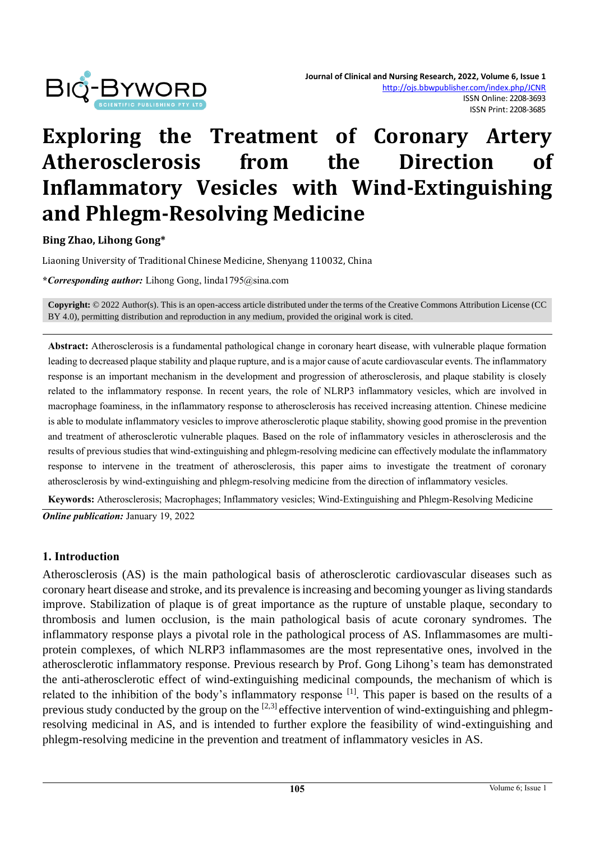

# **Exploring the Treatment of Coronary Artery Atherosclerosis from the Direction of Inflammatory Vesicles with Wind-Extinguishing and Phlegm-Resolving Medicine**

#### **Bing Zhao, Lihong Gong\***

Liaoning University of Traditional Chinese Medicine, Shenyang 110032, China

**\****Corresponding author:* Lihong Gong, linda1795@sina.com

**Copyright:** © 2022 Author(s). This is an open-access article distributed under the terms of th[e Creative Commons Attribution License \(CC](https://creativecommons.org/licenses/by/4.0/)  [BY 4.0\),](https://creativecommons.org/licenses/by/4.0/) permitting distribution and reproduction in any medium, provided the original work is cited.

**Abstract:** Atherosclerosis is a fundamental pathological change in coronary heart disease, with vulnerable plaque formation leading to decreased plaque stability and plaque rupture, and is a major cause of acute cardiovascular events. The inflammatory response is an important mechanism in the development and progression of atherosclerosis, and plaque stability is closely related to the inflammatory response. In recent years, the role of NLRP3 inflammatory vesicles, which are involved in macrophage foaminess, in the inflammatory response to atherosclerosis has received increasing attention. Chinese medicine is able to modulate inflammatory vesicles to improve atherosclerotic plaque stability, showing good promise in the prevention and treatment of atherosclerotic vulnerable plaques. Based on the role of inflammatory vesicles in atherosclerosis and the results of previous studies that wind-extinguishing and phlegm-resolving medicine can effectively modulate the inflammatory response to intervene in the treatment of atherosclerosis, this paper aims to investigate the treatment of coronary atherosclerosis by wind-extinguishing and phlegm-resolving medicine from the direction of inflammatory vesicles.

**Keywords:** Atherosclerosis; Macrophages; Inflammatory vesicles; Wind-Extinguishing and Phlegm-Resolving Medicine *Online publication:* January 19, 2022

#### **1. Introduction**

Atherosclerosis (AS) is the main pathological basis of atherosclerotic cardiovascular diseases such as coronary heart disease and stroke, and its prevalence is increasing and becoming younger as living standards improve. Stabilization of plaque is of great importance as the rupture of unstable plaque, secondary to thrombosis and lumen occlusion, is the main pathological basis of acute coronary syndromes. The inflammatory response plays a pivotal role in the pathological process of AS. Inflammasomes are multiprotein complexes, of which NLRP3 inflammasomes are the most representative ones, involved in the atherosclerotic inflammatory response. Previous research by Prof. Gong Lihong's team has demonstrated the anti-atherosclerotic effect of wind-extinguishing medicinal compounds, the mechanism of which is related to the inhibition of the body's inflammatory response [1]. This paper is based on the results of a previous study conducted by the group on the  $[2,3]$  effective intervention of wind-extinguishing and phlegmresolving medicinal in AS, and is intended to further explore the feasibility of wind-extinguishing and phlegm-resolving medicine in the prevention and treatment of inflammatory vesicles in AS.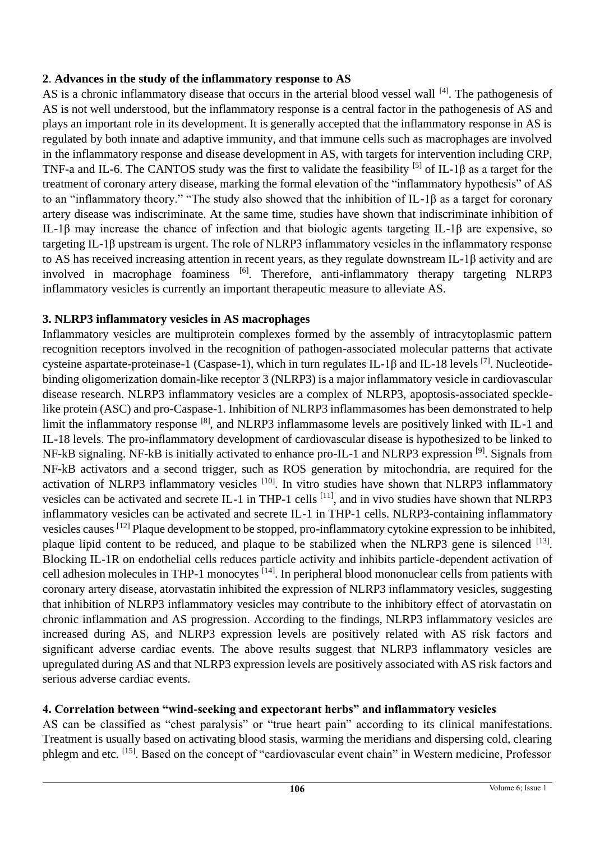## **2**. **Advances in the study of the inflammatory response to AS**

AS is a chronic inflammatory disease that occurs in the arterial blood vessel wall [4]. The pathogenesis of AS is not well understood, but the inflammatory response is a central factor in the pathogenesis of AS and plays an important role in its development. It is generally accepted that the inflammatory response in AS is regulated by both innate and adaptive immunity, and that immune cells such as macrophages are involved in the inflammatory response and disease development in AS, with targets for intervention including CRP, TNF-a and IL-6. The CANTOS study was the first to validate the feasibility <sup>[5]</sup> of IL-1 $\beta$  as a target for the treatment of coronary artery disease, marking the formal elevation of the "inflammatory hypothesis" of AS to an "inflammatory theory." "The study also showed that the inhibition of IL-1β as a target for coronary artery disease was indiscriminate. At the same time, studies have shown that indiscriminate inhibition of IL-1β may increase the chance of infection and that biologic agents targeting IL-1β are expensive, so targeting IL-1β upstream is urgent. The role of NLRP3 inflammatory vesicles in the inflammatory response to AS has received increasing attention in recent years, as they regulate downstream IL-1β activity and are involved in macrophage foaminess [6]. Therefore, anti-inflammatory therapy targeting NLRP3 inflammatory vesicles is currently an important therapeutic measure to alleviate AS.

## **3. NLRP3 inflammatory vesicles in AS macrophages**

Inflammatory vesicles are multiprotein complexes formed by the assembly of intracytoplasmic pattern recognition receptors involved in the recognition of pathogen-associated molecular patterns that activate cysteine aspartate-proteinase-1 (Caspase-1), which in turn regulates IL-1β and IL-18 levels [7]. Nucleotidebinding oligomerization domain-like receptor 3 (NLRP3) is a major inflammatory vesicle in cardiovascular disease research. NLRP3 inflammatory vesicles are a complex of NLRP3, apoptosis-associated specklelike protein (ASC) and pro-Caspase-1. Inhibition of NLRP3 inflammasomes has been demonstrated to help limit the inflammatory response [8], and NLRP3 inflammasome levels are positively linked with IL-1 and IL-18 levels. The pro-inflammatory development of cardiovascular disease is hypothesized to be linked to NF-kB signaling. NF-kB is initially activated to enhance pro-IL-1 and NLRP3 expression [9]. Signals from NF-kB activators and a second trigger, such as ROS generation by mitochondria, are required for the activation of NLRP3 inflammatory vesicles <sup>[10]</sup>. In vitro studies have shown that NLRP3 inflammatory vesicles can be activated and secrete IL-1 in THP-1 cells [11], and in vivo studies have shown that NLRP3 inflammatory vesicles can be activated and secrete IL-1 in THP-1 cells. NLRP3-containing inflammatory vesicles causes [12] Plaque development to be stopped, pro-inflammatory cytokine expression to be inhibited, plaque lipid content to be reduced, and plaque to be stabilized when the NLRP3 gene is silenced [13]. Blocking IL-1R on endothelial cells reduces particle activity and inhibits particle-dependent activation of cell adhesion molecules in THP-1 monocytes [14]. In peripheral blood mononuclear cells from patients with coronary artery disease, atorvastatin inhibited the expression of NLRP3 inflammatory vesicles, suggesting that inhibition of NLRP3 inflammatory vesicles may contribute to the inhibitory effect of atorvastatin on chronic inflammation and AS progression. According to the findings, NLRP3 inflammatory vesicles are increased during AS, and NLRP3 expression levels are positively related with AS risk factors and significant adverse cardiac events. The above results suggest that NLRP3 inflammatory vesicles are upregulated during AS and that NLRP3 expression levels are positively associated with AS risk factors and serious adverse cardiac events.

## **4. Correlation between "wind-seeking and expectorant herbs" and inflammatory vesicles**

AS can be classified as "chest paralysis" or "true heart pain" according to its clinical manifestations. Treatment is usually based on activating blood stasis, warming the meridians and dispersing cold, clearing phlegm and etc. [15]. Based on the concept of "cardiovascular event chain" in Western medicine, Professor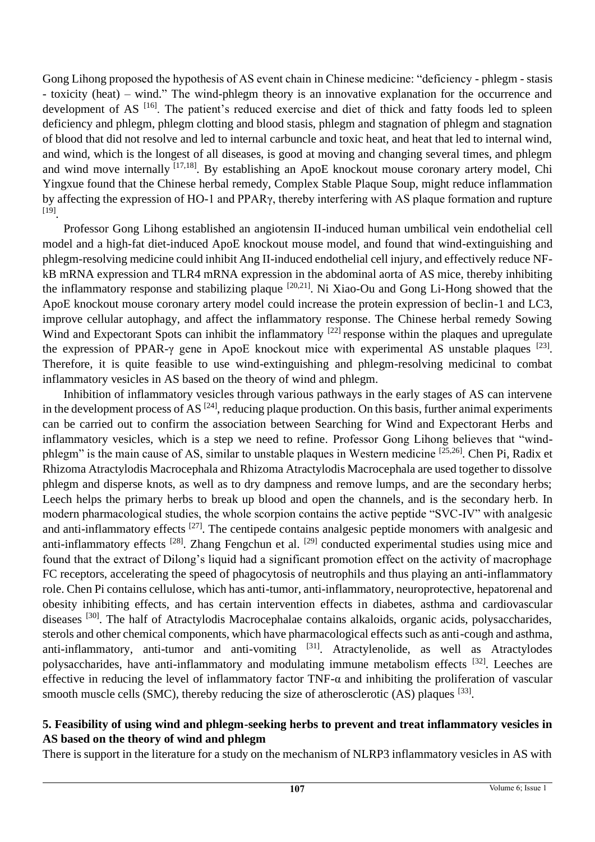Gong Lihong proposed the hypothesis of AS event chain in Chinese medicine: "deficiency - phlegm - stasis - toxicity (heat) – wind." The wind-phlegm theory is an innovative explanation for the occurrence and development of AS<sup>[16]</sup>. The patient's reduced exercise and diet of thick and fatty foods led to spleen deficiency and phlegm, phlegm clotting and blood stasis, phlegm and stagnation of phlegm and stagnation of blood that did not resolve and led to internal carbuncle and toxic heat, and heat that led to internal wind, and wind, which is the longest of all diseases, is good at moving and changing several times, and phlegm and wind move internally [17,18]. By establishing an ApoE knockout mouse coronary artery model, Chi Yingxue found that the Chinese herbal remedy, Complex Stable Plaque Soup, might reduce inflammation by affecting the expression of HO-1 and PPARγ, thereby interfering with AS plaque formation and rupture [19] .

Professor Gong Lihong established an angiotensin II-induced human umbilical vein endothelial cell model and a high-fat diet-induced ApoE knockout mouse model, and found that wind-extinguishing and phlegm-resolving medicine could inhibit Ang II-induced endothelial cell injury, and effectively reduce NFkB mRNA expression and TLR4 mRNA expression in the abdominal aorta of AS mice, thereby inhibiting the inflammatory response and stabilizing plaque  $[20,21]$ . Ni Xiao-Ou and Gong Li-Hong showed that the ApoE knockout mouse coronary artery model could increase the protein expression of beclin-1 and LC3, improve cellular autophagy, and affect the inflammatory response. The Chinese herbal remedy Sowing Wind and Expectorant Spots can inhibit the inflammatory <sup>[22]</sup> response within the plaques and upregulate the expression of PPAR- $\gamma$  gene in ApoE knockout mice with experimental AS unstable plaques [23]. Therefore, it is quite feasible to use wind-extinguishing and phlegm-resolving medicinal to combat inflammatory vesicles in AS based on the theory of wind and phlegm.

Inhibition of inflammatory vesicles through various pathways in the early stages of AS can intervene in the development process of AS  $^{[24]}$ , reducing plaque production. On this basis, further animal experiments can be carried out to confirm the association between Searching for Wind and Expectorant Herbs and inflammatory vesicles, which is a step we need to refine. Professor Gong Lihong believes that "windphlegm" is the main cause of AS, similar to unstable plaques in Western medicine [25,26]. Chen Pi, Radix et Rhizoma Atractylodis Macrocephala and Rhizoma Atractylodis Macrocephala are used together to dissolve phlegm and disperse knots, as well as to dry dampness and remove lumps, and are the secondary herbs; Leech helps the primary herbs to break up blood and open the channels, and is the secondary herb. In modern pharmacological studies, the whole scorpion contains the active peptide "SVC-IV" with analgesic and anti-inflammatory effects <sup>[27]</sup>. The centipede contains analgesic peptide monomers with analgesic and anti-inflammatory effects <sup>[28]</sup>. Zhang Fengchun et al. <sup>[29]</sup> conducted experimental studies using mice and found that the extract of Dilong's liquid had a significant promotion effect on the activity of macrophage FC receptors, accelerating the speed of phagocytosis of neutrophils and thus playing an anti-inflammatory role. Chen Pi contains cellulose, which has anti-tumor, anti-inflammatory, neuroprotective, hepatorenal and obesity inhibiting effects, and has certain intervention effects in diabetes, asthma and cardiovascular diseases [30]. The half of Atractylodis Macrocephalae contains alkaloids, organic acids, polysaccharides, sterols and other chemical components, which have pharmacological effects such as anti-cough and asthma, anti-inflammatory, anti-tumor and anti-vomiting [31]. Atractylenolide, as well as Atractylodes polysaccharides, have anti-inflammatory and modulating immune metabolism effects [32]. Leeches are effective in reducing the level of inflammatory factor TNF- $\alpha$  and inhibiting the proliferation of vascular smooth muscle cells (SMC), thereby reducing the size of atherosclerotic  $(AS)$  plaques  $[33]$ .

### **5. Feasibility of using wind and phlegm-seeking herbs to prevent and treat inflammatory vesicles in AS based on the theory of wind and phlegm**

There is support in the literature for a study on the mechanism of NLRP3 inflammatory vesicles in AS with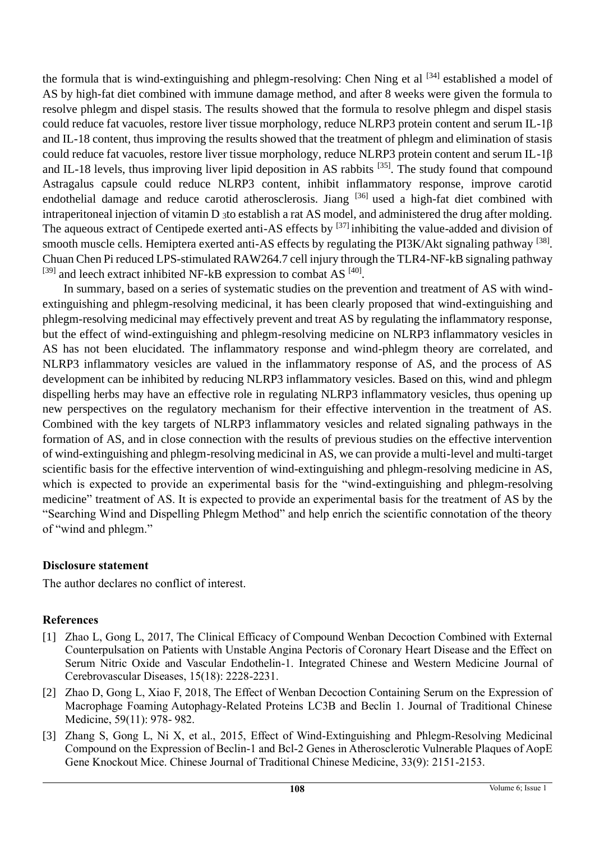the formula that is wind-extinguishing and phlegm-resolving: Chen Ning et al <sup>[34]</sup> established a model of AS by high-fat diet combined with immune damage method, and after 8 weeks were given the formula to resolve phlegm and dispel stasis. The results showed that the formula to resolve phlegm and dispel stasis could reduce fat vacuoles, restore liver tissue morphology, reduce NLRP3 protein content and serum IL-1β and IL-18 content, thus improving the results showed that the treatment of phlegm and elimination of stasis could reduce fat vacuoles, restore liver tissue morphology, reduce NLRP3 protein content and serum IL-1β and IL-18 levels, thus improving liver lipid deposition in AS rabbits <sup>[35]</sup>. The study found that compound Astragalus capsule could reduce NLRP3 content, inhibit inflammatory response, improve carotid endothelial damage and reduce carotid atherosclerosis. Jiang <sup>[36]</sup> used a high-fat diet combined with intraperitoneal injection of vitamin D 3to establish a rat AS model, and administered the drug after molding. The aqueous extract of Centipede exerted anti-AS effects by <sup>[37]</sup> inhibiting the value-added and division of smooth muscle cells. Hemiptera exerted anti-AS effects by regulating the PI3K/Akt signaling pathway [38]. Chuan Chen Pi reduced LPS-stimulated RAW264.7 cell injury through the TLR4-NF-kB signaling pathway  $^{[39]}$  and leech extract inhibited NF-kB expression to combat AS  $^{[40]}$ .

In summary, based on a series of systematic studies on the prevention and treatment of AS with windextinguishing and phlegm-resolving medicinal, it has been clearly proposed that wind-extinguishing and phlegm-resolving medicinal may effectively prevent and treat AS by regulating the inflammatory response, but the effect of wind-extinguishing and phlegm-resolving medicine on NLRP3 inflammatory vesicles in AS has not been elucidated. The inflammatory response and wind-phlegm theory are correlated, and NLRP3 inflammatory vesicles are valued in the inflammatory response of AS, and the process of AS development can be inhibited by reducing NLRP3 inflammatory vesicles. Based on this, wind and phlegm dispelling herbs may have an effective role in regulating NLRP3 inflammatory vesicles, thus opening up new perspectives on the regulatory mechanism for their effective intervention in the treatment of AS. Combined with the key targets of NLRP3 inflammatory vesicles and related signaling pathways in the formation of AS, and in close connection with the results of previous studies on the effective intervention of wind-extinguishing and phlegm-resolving medicinal in AS, we can provide a multi-level and multi-target scientific basis for the effective intervention of wind-extinguishing and phlegm-resolving medicine in AS, which is expected to provide an experimental basis for the "wind-extinguishing and phlegm-resolving medicine" treatment of AS. It is expected to provide an experimental basis for the treatment of AS by the "Searching Wind and Dispelling Phlegm Method" and help enrich the scientific connotation of the theory of "wind and phlegm."

## **Disclosure statement**

The author declares no conflict of interest.

## **References**

- [1] Zhao L, Gong L, 2017, The Clinical Efficacy of Compound Wenban Decoction Combined with External Counterpulsation on Patients with Unstable Angina Pectoris of Coronary Heart Disease and the Effect on Serum Nitric Oxide and Vascular Endothelin-1. Integrated Chinese and Western Medicine Journal of Cerebrovascular Diseases, 15(18): 2228-2231.
- [2] Zhao D, Gong L, Xiao F, 2018, The Effect of Wenban Decoction Containing Serum on the Expression of Macrophage Foaming Autophagy-Related Proteins LC3B and Beclin 1. Journal of Traditional Chinese Medicine, 59(11): 978- 982.
- [3] Zhang S, Gong L, Ni X, et al., 2015, Effect of Wind-Extinguishing and Phlegm-Resolving Medicinal Compound on the Expression of Beclin-1 and Bcl-2 Genes in Atherosclerotic Vulnerable Plaques of AopE Gene Knockout Mice. Chinese Journal of Traditional Chinese Medicine, 33(9): 2151-2153.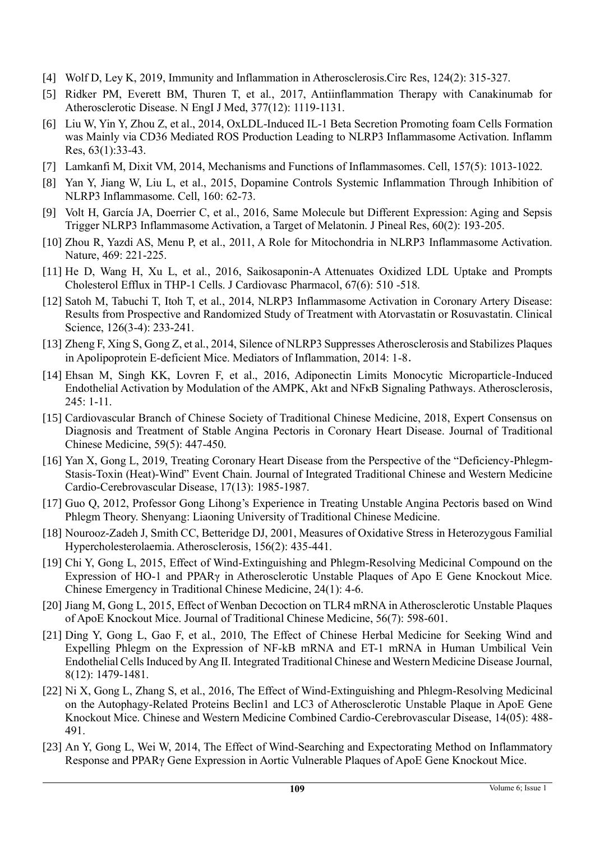- [4] Wolf D, Ley K, 2019, Immunity and Inflammation in Atherosclerosis.Circ Res, 124(2): 315-327.
- [5] Ridker PM, Everett BM, Thuren T, et al., 2017, Antiinflammation Therapy with Canakinumab for Atherosclerotic Disease. N EngI J Med, 377(12): 1119-1131.
- [6] Liu W, Yin Y, Zhou Z, et al., 2014, OxLDL-Induced IL-1 Beta Secretion Promoting foam Cells Formation was Mainly via CD36 Mediated ROS Production Leading to NLRP3 Inflammasome Activation. Inflamm Res, 63(1):33-43.
- [7] Lamkanfi M, Dixit VM, 2014, Mechanisms and Functions of Inflammasomes. Cell, 157(5): 1013-1022.
- [8] Yan Y, Jiang W, Liu L, et al., 2015, Dopamine Controls Systemic Inflammation Through Inhibition of NLRP3 Inflammasome. Cell, 160: 62-73.
- [9] Volt H, García JA, Doerrier C, et al., 2016, Same Molecule but Different Expression: Aging and Sepsis Trigger NLRP3 Inflammasome Activation, a Target of Melatonin. J Pineal Res, 60(2): 193-205.
- [10] Zhou R, Yazdi AS, Menu P, et al., 2011, A Role for Mitochondria in NLRP3 Inflammasome Activation. Nature, 469: 221-225.
- [11] He D, Wang H, Xu L, et al., 2016, Saikosaponin-A Attenuates Oxidized LDL Uptake and Prompts Cholesterol Efflux in THP-1 Cells. J Cardiovasc Pharmacol, 67(6): 510 -518.
- [12] Satoh M, Tabuchi T, Itoh T, et al., 2014, NLRP3 Inflammasome Activation in Coronary Artery Disease: Results from Prospective and Randomized Study of Treatment with Atorvastatin or Rosuvastatin. Clinical Science, 126(3-4): 233-241.
- [13] Zheng F, Xing S, Gong Z, et al., 2014, Silence of NLRP3 Suppresses Atherosclerosis and Stabilizes Plaques in Apolipoprotein E-deficient Mice. Mediators of Inflammation, 2014: 1-8.
- [14] Ehsan M, Singh KK, Lovren F, et al., 2016, Adiponectin Limits Monocytic Microparticle-Induced Endothelial Activation by Modulation of the AMPK, Akt and NFκB Signaling Pathways. Atherosclerosis, 245: 1-11.
- [15] Cardiovascular Branch of Chinese Society of Traditional Chinese Medicine, 2018, Expert Consensus on Diagnosis and Treatment of Stable Angina Pectoris in Coronary Heart Disease. Journal of Traditional Chinese Medicine, 59(5): 447-450.
- [16] Yan X, Gong L, 2019, Treating Coronary Heart Disease from the Perspective of the "Deficiency-Phlegm-Stasis-Toxin (Heat)-Wind" Event Chain. Journal of Integrated Traditional Chinese and Western Medicine Cardio-Cerebrovascular Disease, 17(13): 1985-1987.
- [17] Guo Q, 2012, Professor Gong Lihong's Experience in Treating Unstable Angina Pectoris based on Wind Phlegm Theory. Shenyang: Liaoning University of Traditional Chinese Medicine.
- [18] Nourooz-Zadeh J, Smith CC, Betteridge DJ, 2001, Measures of Oxidative Stress in Heterozygous Familial Hypercholesterolaemia. Atherosclerosis, 156(2): 435-441.
- [19] Chi Y, Gong L, 2015, Effect of Wind-Extinguishing and Phlegm-Resolving Medicinal Compound on the Expression of HO-1 and PPARγ in Atherosclerotic Unstable Plaques of Apo E Gene Knockout Mice. Chinese Emergency in Traditional Chinese Medicine, 24(1): 4-6.
- [20] Jiang M, Gong L, 2015, Effect of Wenban Decoction on TLR4 mRNA in Atherosclerotic Unstable Plaques of ApoE Knockout Mice. Journal of Traditional Chinese Medicine, 56(7): 598-601.
- [21] Ding Y, Gong L, Gao F, et al., 2010, The Effect of Chinese Herbal Medicine for Seeking Wind and Expelling Phlegm on the Expression of NF-kB mRNA and ET-1 mRNA in Human Umbilical Vein Endothelial Cells Induced by Ang Ⅱ. Integrated Traditional Chinese and Western Medicine Disease Journal, 8(12): 1479-1481.
- [22] Ni X, Gong L, Zhang S, et al., 2016, The Effect of Wind-Extinguishing and Phlegm-Resolving Medicinal on the Autophagy-Related Proteins Beclin1 and LC3 of Atherosclerotic Unstable Plaque in ApoE Gene Knockout Mice. Chinese and Western Medicine Combined Cardio-Cerebrovascular Disease, 14(05): 488- 491.
- [23] An Y, Gong L, Wei W, 2014, The Effect of Wind-Searching and Expectorating Method on Inflammatory Response and PPARγ Gene Expression in Aortic Vulnerable Plaques of ApoE Gene Knockout Mice.